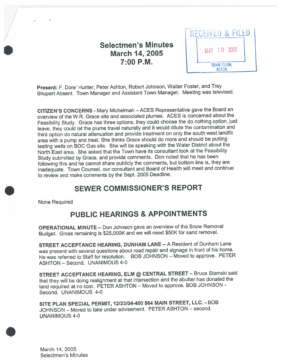## Selectmen's Minutes March 14, 2005 7:00 P.M.

| RECEIVED & FILED  |
|-------------------|
| MAY 10 2005       |
| <b>TOWN CLERK</b> |

Present: F. Dore' Hunter, Peter Ashton, Robert Johnson, Walter Foster, and Trey Shupert Absent. Town Manager and Assistant Town Manager. Meeting was televised.

CITIZEN'S CONCERNS - Mary Michelman - ACES Representative gave the Board an overview of the W.R. Grace site and associated <sup>p</sup>lumes. ACES is concerned about the Feasibility Study. Grace has three options, they could choose the do nothing option, just leave, they could let the <sup>p</sup>lume travel naturally and it would dilute the contamination and third option do natural attenuation and provide treatment on only the south west landfill area with <sup>a</sup> pump and treat. She thinks Grace should do more and should be putting testing wells on BOC Gas site. She will be speaking with the Water District about the North East area. She asked that the Town have its consultant look at the Feasibility Study submitted by Grace, and provide comments. Don noted that he has been following this and he cannot share publicly the comments, but bottom line is, they are inadequate. Town Counsel, our consultant and Board of Health will meet and continue to review and make comments by the Sept. 2005 Deadline.

## SEWER COMMISSIONER'S REPORT

None Required

# PUBLIC HEARINGS & APPOINTMENTS

OPERATIONAL MINUTE — Don Johnson gave an overview of the Snow Removal Budget. Gross remaining is \$25,000K and we will need \$50K for sand removal.

STREET ACCEPTANCE HEARING, DUNHAM LANE — <sup>A</sup> Resident of Dunham Lane was presen<sup>t</sup> with several questions about road repair and signage in front of his home. He was referred to Staff for resolution. BOB JOHNSON — Moved to approve. PETER ASHTON — Second. UNANIMOUS 4-0

STREET ACCEPTANCE HEARING, ELM @ CENTRAL STREET — Bruce Stamski said that they will be doing realignment at that intersection and the abutter has donated the land required at no cost. PETER ASHTON — Moved to approve. BOB JOHNSON - Second. UNANIMOUS 4-0

SITE PLAN SPECIAL PERMIT, 12123104-400 <sup>864</sup> MAIN STREET, LLC. - BOB JOHNSON — Moved to take under advisement. PETER ASHTON — second. UNANIMOUS 4-0

March 14, 2005 Selectmen's Minutes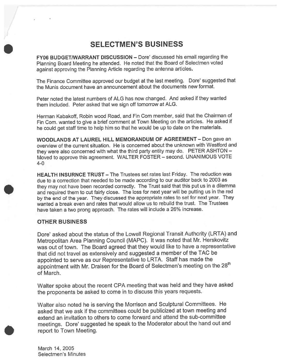## SELECTMEN'S BUSINESS

FY06 BUDGET/WARRANT DISCUSSION — Dote' discussed his email regarding the Planning Board Meeting he attended. He noted that the Board of Selectmen voted against approving the Planning Article regarding the antenna articles.

The Finance Committee approve<sup>d</sup> our budget at the last meeting. Dore' suggested that the Munis document have an announcement about the documents new format.

Peter noted the latest numbers of ALG has now changed. And asked if they wanted them included. Peter asked that we sign off tomorrow at ALG.

Herman Kabakoff, Robin wood Road, and Fin Com member, said that the Chairman of Fin Com. wanted to give a brief comment at Town Meeting on the articles. He asked if he could ge<sup>t</sup> staff time to help him so that he would be up to date on the materials.

WOODLANDS AT LAUREL HILL MEMORANDUM OF AGREEMENT — Don gave an overview of the current situation. He is concerned about the unknown with Westford and they were also concerned with what the third party entity may do. PETER ASHTON — Moved to approve this agreement. WALTER FOSTER — second. UNANIMOUS VOTE 4-0

HEALTH INSURNCE TRUST — The Trustees set rates last Friday. The reduction was due to <sup>a</sup> correction that needed to be made according to our auditor back to 2003 as they may not have been recorded correctly. The Trust said that this pu<sup>t</sup> us in <sup>a</sup> dilemma and required them to cut fairly close. The loss for next year will be putting us in the red by the end of the year. They discussed the appropriate rates to set for next year. They wanted <sup>a</sup> break even and rates that would allow us to rebuild the trust. The Trustees have taken <sup>a</sup> two prong approach. The rates will include <sup>a</sup> 26% increase.

#### OTHER BUSINESS

Dote' asked about the status of the Lowell Regional Transit Authority (LRTA) and Metropolitan Area Planning Council (MAPC). It was noted that Mr. Herskovitz was out of town. The Board agree<sup>d</sup> that they would like to have <sup>a</sup> representative that did not travel as extensively and suggested <sup>a</sup> member of the TAC be appointed to serve as our Representative to LRTA. Staff has made the appointment with Mr. Draisen for the Board of Selectmen's meeting on the 28<sup>th</sup> of March.

Walter spoke about the recent CPA meeting that was held and they have asked the proponents be asked to come in to discuss this years requests.

Walter also noted he is serving the Morrison and Sculptural Committees. He asked that we ask if the committees could be publicized at town meeting and extend an invitation to others to come forward and attend the sub-committee meetings. Dore' suggested he spea<sup>k</sup> to the Moderator about the hand out and repor<sup>t</sup> to Town Meeting.

March 14, 2005 Selectmen's Minutes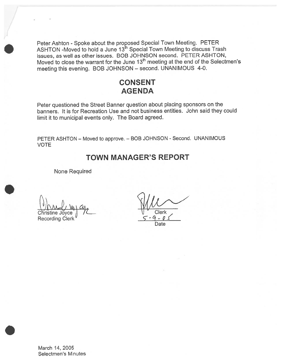Peter Ashton - Spoke about the proposed Special Town Meeting. PETER ASHTON -Moved to hold a June 13<sup>th</sup> Special Town Meeting to discuss Trash issues, as wefl as other issues. BOB JOHNSON second. PETER ASHTON, Moved to close the warrant for the June 13<sup>th</sup> meeting at the end of the Selectmen's meeting this evening. BOB JOHNSON — second. UNANIMOUS 4-0.

## CONSENT AGENDA

Peter questioned the Street Banner question about <sup>p</sup>lacing sponsors on the banners. It is for Recreation Use and not business entities. John said they could limit it to municipal events only. The Board agreed.

PETER ASHTON - Moved to approve. - BOB JOHNSON - Second. UNANIMOUS VOTE

## TOWN MANAGER'S REPORT

None Required

Christine Joyce j 12<br>Christine Joyce j 12<br>Recording Clerk 5-9-01

Date

March 14, 2005 Selectmen's Minutes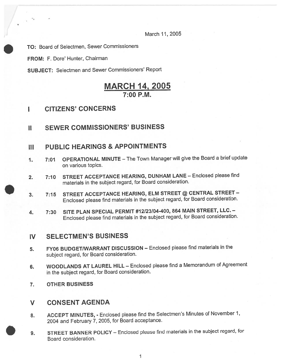March 11,2005

TO: Board of Selectmen, Sewer Commissioners

FROM: F. Dore' Hunter, Chairman

SUBJECT: Selectmen and Sewer Commissioners' Report

## MARCH 14, 2005 7:00 P.M.

### I CITIZENS' CONCERNS

### II SEWER COMMISSIONERS' BUSINESS

### III PUBLIC HEARINGS & APPOINTMENTS

- 1. 7:01 OPERATIONAL MINUTE—The Town Manager will <sup>g</sup>ive the Board <sup>a</sup> brief update on various topics.
- 2. 7:10 STREET ACCEPTANCE HEARING, DUNHAM LANE Enclosed please find materials in the subject regard, for Board consideration.
- 3. 7:15 STREET ACCEPTANCE HEARING, ELM STREET @ CENTRAL STREET— Enclosed <sup>p</sup>lease find materials in the subject regard, for Board consideration.
- 4. 7:30 SITE PLAN SPECIAL PERMIT #12123104-400, <sup>864</sup> MAIN STREET, LLC. Enclosed <sup>p</sup>lease find materials in the subject regard, for Board consideration.

### IV SELECTMEN'S BUSINESS

- 5. FY06 BUDGET/WARRANT DISCUSSION Enclosed please find materials in the subject regard, for Board consideration.
- 6. WOODLANDS AT LAUREL HILL Enclosed <sup>p</sup>lease find <sup>a</sup> Memorandum of Agreement in the subject regard, for Board consideration.
- 7. OTHER BUSINESS

### V CONSENT AGENDA

- 8. ACCEPT MINUTES, Enclosed please find the Selectmen's Minutes of November 1, <sup>2004</sup> and February 7, 2005, for Board acceptance.
- 9. STREET BANNER POLICY Enclosed <sup>p</sup>lease find materials in the subject regard, for Board consideration.